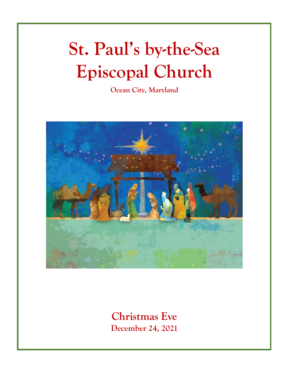# **St. Paul's by-the-Sea Episcopal Church**

**Ocean City, Maryland**



**Christmas Eve December 24, 2021**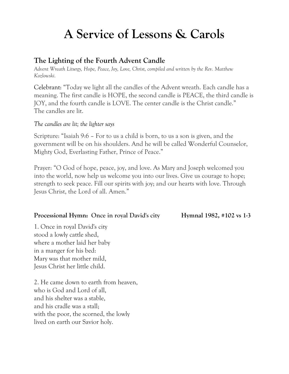## **A Service of Lessons & Carols**

#### **The Lighting of the Fourth Advent Candle**

*Advent Wreath Liturgy, Hope, Peace, Joy, Love, Christ, compiled and written by the Rev. Matthew Kozlowski.*

Celebrant: "Today we light all the candles of the Advent wreath. Each candle has a meaning. The first candle is HOPE, the second candle is PEACE, the third candle is JOY, and the fourth candle is LOVE. The center candle is the Christ candle." The candles are lit.

#### *The candles are lit; the lighter says*

Scripture: "Isaiah 9:6 – For to us a child is born, to us a son is given, and the government will be on his shoulders. And he will be called Wonderful Counselor, Mighty God, Everlasting Father, Prince of Peace."

Prayer: "O God of hope, peace, joy, and love. As Mary and Joseph welcomed you into the world, now help us welcome you into our lives. Give us courage to hope; strength to seek peace. Fill our spirits with joy; and our hearts with love. Through Jesus Christ, the Lord of all. Amen."

#### Processional Hymn: Once in royal David's city **Hymnal 1982**, #102 vs 1-3

1. Once in royal David's city stood a lowly cattle shed, where a mother laid her baby in a manger for his bed: Mary was that mother mild, Jesus Christ her little child.

2. He came down to earth from heaven, who is God and Lord of all, and his shelter was a stable, and his cradle was a stall; with the poor, the scorned, the lowly lived on earth our Savior holy.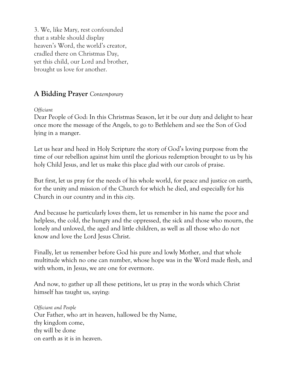3. We, like Mary, rest confounded that a stable should display heaven's Word, the world's creator, cradled there on Christmas Day, yet this child, our Lord and brother, brought us love for another.

#### **A Bidding Prayer** *Contemporary*

*Officiant*

Dear People of God: In this Christmas Season, let it be our duty and delight to hear once more the message of the Angels, to go to Bethlehem and see the Son of God lying in a manger.

Let us hear and heed in Holy Scripture the story of God's loving purpose from the time of our rebellion against him until the glorious redemption brought to us by his holy Child Jesus, and let us make this place glad with our carols of praise.

But first, let us pray for the needs of his whole world, for peace and justice on earth, for the unity and mission of the Church for which he died, and especially for his Church in our country and in this *city*.

And because he particularly loves them, let us remember in his name the poor and helpless, the cold, the hungry and the oppressed, the sick and those who mourn, the lonely and unloved, the aged and little children, as well as all those who do not know and love the Lord Jesus Christ.

Finally, let us remember before God his pure and lowly Mother, and that whole multitude which no one can number, whose hope was in the Word made flesh, and with whom, in Jesus, we are one for evermore.

And now, to gather up all these petitions, let us pray in the words which Christ himself has taught us, saying:

*Officiant and People*  Our Father, who art in heaven, hallowed be thy Name, thy kingdom come, thy will be done on earth as it is in heaven.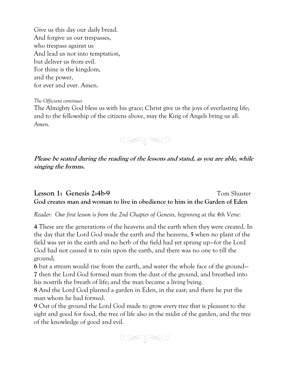Give us this day our daily bread. And forgive us our trespasses, who trespass against us And lead us not into temptation, but deliver us from evil. For thine is the kingdom, and the power, for ever and ever. Amen.

#### *The Officiant continues*

The Almighty God bless us with his grace; Christ give us the joys of everlasting life; and to the fellowship of the citizens above, may the King of Angels bring us all. *Amen*.



**Please be seated during the reading of the lessons and stand, as you are able, while singing the hymns.**

Lesson 1: Genesis 2:4b-9 Tom Shuster **God creates man and woman to live in obedience to him in the Garden of Eden**

*Reader: Our first lesson is from the 2nd Chapter of Genesis, beginning at the 4th Verse:*

**4** These are the generations of the heavens and the earth when they were created. In the day that the Lord God made the earth and the heavens, **5** when no plant of the field was yet in the earth and no herb of the field had yet sprung up—for the Lord God had not caused it to rain upon the earth, and there was no one to till the ground;

**6** but a stream would rise from the earth, and water the whole face of the ground— **7** then the Lord God formed man from the dust of the ground, and breathed into his nostrils the breath of life; and the man became a living being.

**8** And the Lord God planted a garden in Eden, in the east; and there he put the man whom he had formed.

**9** Out of the ground the Lord God made to grow every tree that is pleasant to the sight and good for food, the tree of life also in the midst of the garden, and the tree of the knowledge of good and evil.

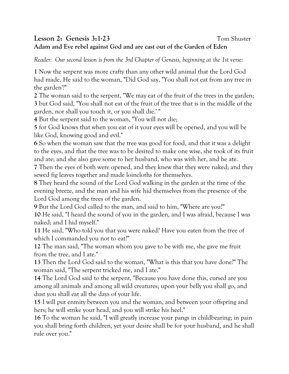### **Lesson 2: Genesis 3:1-23** Tom Shuster

### **Adam and Eve rebel against God and are cast out of the Garden of Eden**

*Reader: Our second lesson is from the 3rd Chapter of Genesis, beginning at the 1st verse:*

**1** Now the serpent was more crafty than any other wild animal that the Lord God had made. He said to the woman, "Did God say, "You shall not eat from any tree in the garden'?"

**2** The woman said to the serpent, "We may eat of the fruit of the trees in the garden; **3** but God said, "You shall not eat of the fruit of the tree that is in the middle of the garden, nor shall you touch it, or you shall die.' "

**4** But the serpent said to the woman, "You will not die;

**5** for God knows that when you eat of it your eyes will be opened, and you will be like God, knowing good and evil."

**6** So when the woman saw that the tree was good for food, and that it was a delight to the eyes, and that the tree was to be desired to make one wise, she took of its fruit and ate; and she also gave some to her husband, who was with her, and he ate.

**7** Then the eyes of both were opened, and they knew that they were naked; and they sewed fig leaves together and made loincloths for themselves.

**8** They heard the sound of the Lord God walking in the garden at the time of the evening breeze, and the man and his wife hid themselves from the presence of the Lord God among the trees of the garden.

**9** But the Lord God called to the man, and said to him, "Where are you?" **10** He said, "I heard the sound of you in the garden, and I was afraid, because I was naked; and I hid myself."

**11** He said, "Who told you that you were naked? Have you eaten from the tree of which I commanded you not to eat?"

**12** The man said, "The woman whom you gave to be with me, she gave me fruit from the tree, and I ate."

**13** Then the Lord God said to the woman, "What is this that you have done?" The woman said, "The serpent tricked me, and I ate."

**14** The Lord God said to the serpent, "Because you have done this, cursed are you among all animals and among all wild creatures; upon your belly you shall go, and dust you shall eat all the days of your life.

**15** I will put enmity between you and the woman, and between your offspring and hers; he will strike your head, and you will strike his heel."

**16** To the woman he said, "I will greatly increase your pangs in childbearing; in pain you shall bring forth children, yet your desire shall be for your husband, and he shall rule over you."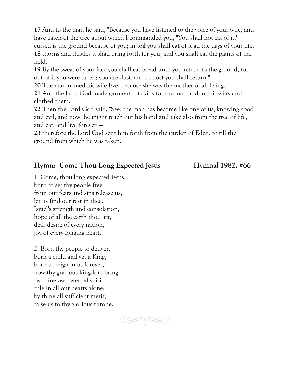**17** And to the man he said, "Because you have listened to the voice of your wife, and have eaten of the tree about which I commanded you, "You shall not eat of it,' cursed is the ground because of you; in toil you shall eat of it all the days of your life; **18** thorns and thistles it shall bring forth for you; and you shall eat the plants of the field.

**19** By the sweat of your face you shall eat bread until you return to the ground, for out of it you were taken; you are dust, and to dust you shall return."

**20** The man named his wife Eve, because she was the mother of all living.

**21** And the Lord God made garments of skins for the man and for his wife, and clothed them.

**22** Then the Lord God said, "See, the man has become like one of us, knowing good and evil; and now, he might reach out his hand and take also from the tree of life, and eat, and live forever"—

**23** therefore the Lord God sent him forth from the garden of Eden, to till the ground from which he was taken.

### **Hymn: Come Thou Long Expected Jesus Hymnal 1982, #66**

1. Come, thou long expected Jesus, born to set thy people free; from our fears and sins release us, let us find our rest in thee. Israel's strength and consolation, hope of all the earth thou art; dear desire of every nation, joy of every longing heart.

2. Born thy people to deliver, born a child and yet a King, born to reign in us forever, now thy gracious kingdom bring. By thine own eternal spirit rule in all our hearts alone; by thine all sufficient merit, raise us to thy glorious throne.

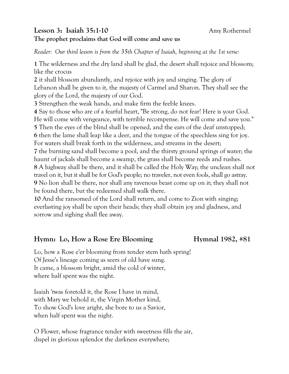#### **Lesson 3: Isaiah 35:1-10** Amy Rothermel **The prophet proclaims that God will come and save us**

*Reader: Our third lesson is from the 35th Chapter of Isaiah, beginning at the 1st verse:*

**1** The wilderness and the dry land shall be glad, the desert shall rejoice and blossom; like the crocus

**2** it shall blossom abundantly, and rejoice with joy and singing. The glory of Lebanon shall be given to it, the majesty of Carmel and Sharon. They shall see the glory of the Lord, the majesty of our God.

**3** Strengthen the weak hands, and make firm the feeble knees.

**4** Say to those who are of a fearful heart, "Be strong, do not fear! Here is your God.

He will come with vengeance, with terrible recompense. He will come and save you."

**5** Then the eyes of the blind shall be opened, and the ears of the deaf unstopped; **6** then the lame shall leap like a deer, and the tongue of the speechless sing for joy. For waters shall break forth in the wilderness, and streams in the desert;

**7** the burning sand shall become a pool, and the thirsty ground springs of water; the haunt of jackals shall become a swamp, the grass shall become reeds and rushes. **8** A highway shall be there, and it shall be called the Holy Way; the unclean shall not travel on it, but it shall be for God's people; no traveler, not even fools, shall go astray. **9** No lion shall be there, nor shall any ravenous beast come up on it; they shall not be found there, but the redeemed shall walk there.

**10** And the ransomed of the Lord shall return, and come to Zion with singing; everlasting joy shall be upon their heads; they shall obtain joy and gladness, and sorrow and sighing shall flee away.

#### **Hymn: Lo, How a Rose Ere Blooming Hymnal 1982, #81**

Lo, how a Rose e'er blooming from tender stem hath spring! Of Jesse's lineage coming as seers of old have sung. It came, a blossom bright, amid the cold of winter, where half spent was the night.

Isaiah 'twas foretold it, the Rose I have in mind, with Mary we behold it, the Virgin Mother kind, To show God's love aright, she bore to us a Savior, when half spent was the night.

O Flower, whose fragrance tender with sweetness fills the air, dispel in glorious splendor the darkness everywhere;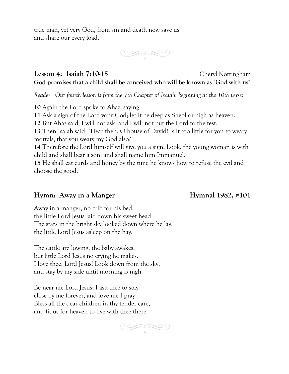true man, yet very God, from sin and death now save us and share our every load.



#### **Lesson 4:** Isaiah 7:10-15 **God promises that a child shall be conceived who will be known as "God with us"**

*Reader: Our fourth lesson is from the 7th Chapter of Isaiah, beginning at the 10th verse:*

 Again the Lord spoke to Ahaz, saying, Ask a sign of the Lord your God; let it be deep as Sheol or high as heaven. But Ahaz said, I will not ask, and I will not put the Lord to the test. Then Isaiah said: "Hear then, O house of David! Is it too little for you to weary mortals, that you weary my God also? Therefore the Lord himself will give you a sign. Look, the young woman is with child and shall bear a son, and shall name him Immanuel. He shall eat curds and honey by the time he knows how to refuse the evil and choose the good.

#### **Hymn:** Away in a Manger **Hymnal 1982**, #101

Away in a manger, no crib for his bed, the little Lord Jesus laid down his sweet head. The stars in the bright sky looked down where he lay, the little Lord Jesus asleep on the hay.

The cattle are lowing, the baby awakes, but little Lord Jesus no crying he makes. I love thee, Lord Jesus! Look down from the sky, and stay by my side until morning is nigh.

Be near me Lord Jesus; I ask thee to stay close by me forever, and love me I pray. Bless all the dear children in thy tender care, and fit us for heaven to live with thee there.

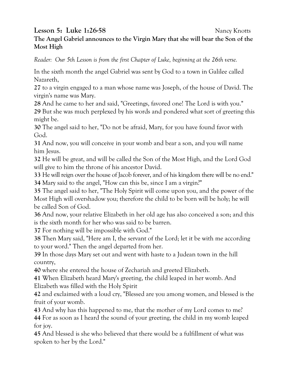**Lesson 5: Luke 1:26-58** Nancy Knotts

#### **The Angel Gabriel announces to the Virgin Mary that she will bear the Son of the Most High**

*Reader: Our 5th Lesson is from the first Chapter of Luke, beginning at the 26th verse.*

In the sixth month the angel Gabriel was sent by God to a town in Galilee called Nazareth,

**27** to a virgin engaged to a man whose name was Joseph, of the house of David. The virgin's name was Mary.

**28** And he came to her and said, "Greetings, favored one! The Lord is with you."

**29** But she was much perplexed by his words and pondered what sort of greeting this might be.

**30** The angel said to her, "Do not be afraid, Mary, for you have found favor with God.

**31** And now, you will conceive in your womb and bear a son, and you will name him Jesus.

**32** He will be great, and will be called the Son of the Most High, and the Lord God will give to him the throne of his ancestor David.

**33** He will reign over the house of Jacob forever, and of his kingdom there will be no end." **34** Mary said to the angel, "How can this be, since I am a virgin?"

**35** The angel said to her, "The Holy Spirit will come upon you, and the power of the Most High will overshadow you; therefore the child to be born will be holy; he will be called Son of God.

**36** And now, your relative Elizabeth in her old age has also conceived a son; and this is the sixth month for her who was said to be barren.

**37** For nothing will be impossible with God."

**38** Then Mary said, "Here am I, the servant of the Lord; let it be with me according to your word." Then the angel departed from her.

**39** In those days Mary set out and went with haste to a Judean town in the hill country,

**40** where she entered the house of Zechariah and greeted Elizabeth.

**41** When Elizabeth heard Mary's greeting, the child leaped in her womb. And Elizabeth was filled with the Holy Spirit

**42** and exclaimed with a loud cry, "Blessed are you among women, and blessed is the fruit of your womb.

**43** And why has this happened to me, that the mother of my Lord comes to me? **44** For as soon as I heard the sound of your greeting, the child in my womb leaped for joy.

**45** And blessed is she who believed that there would be a fulfillment of what was spoken to her by the Lord."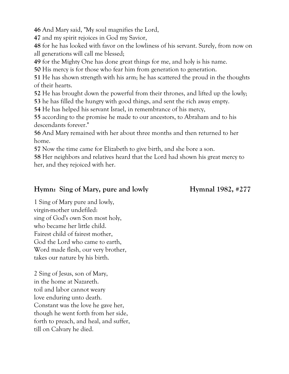**46** And Mary said, "My soul magnifies the Lord,

**47** and my spirit rejoices in God my Savior,

**48** for he has looked with favor on the lowliness of his servant. Surely, from now on all generations will call me blessed;

**49** for the Mighty One has done great things for me, and holy is his name.

**50** His mercy is for those who fear him from generation to generation.

**51** He has shown strength with his arm; he has scattered the proud in the thoughts of their hearts.

**52** He has brought down the powerful from their thrones, and lifted up the lowly;

**53** he has filled the hungry with good things, and sent the rich away empty.

**54** He has helped his servant Israel, in remembrance of his mercy,

**55** according to the promise he made to our ancestors, to Abraham and to his descendants forever."

**56** And Mary remained with her about three months and then returned to her home.

**57** Now the time came for Elizabeth to give birth, and she bore a son.

**58** Her neighbors and relatives heard that the Lord had shown his great mercy to her, and they rejoiced with her.

#### **Hymn: Sing of Mary, pure and lowly Hymnal 1982, #277**

1 Sing of Mary pure and lowly, virgin-mother undefiled: sing of God's own Son most holy, who became her little child. Fairest child of fairest mother, God the Lord who came to earth, Word made flesh, our very brother, takes our nature by his birth.

2 Sing of Jesus, son of Mary, in the home at Nazareth. toil and labor cannot weary love enduring unto death. Constant was the love he gave her, though he went forth from her side, forth to preach, and heal, and suffer, till on Calvary he died.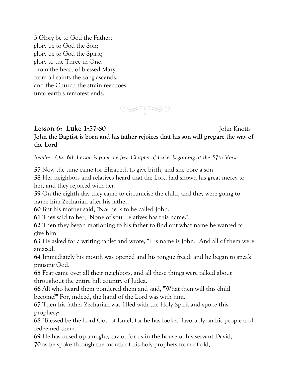3 Glory be to God the Father; glory be to God the Son; glory be to God the Spirit; glory to the Three in One. From the heart of blessed Mary, from all saints the song ascends, and the Church the strain reechoes unto earth's remotest ends.



#### Lesson 6: Luke 1:57-80 John Knotts **John the Baptist is born and his father rejoices that his son will prepare the way of the Lord**

*Reader: Our 6th Lesson is from the first Chapter of Luke, beginning at the 57th Verse* 

**57** Now the time came for Elizabeth to give birth, and she bore a son.

**58** Her neighbors and relatives heard that the Lord had shown his great mercy to her, and they rejoiced with her.

**59** On the eighth day they came to circumcise the child, and they were going to name him Zechariah after his father.

**60** But his mother said, "No; he is to be called John."

**61** They said to her, "None of your relatives has this name."

**62** Then they began motioning to his father to find out what name he wanted to give him.

**63** He asked for a writing tablet and wrote, "His name is John." And all of them were amazed.

**64** Immediately his mouth was opened and his tongue freed, and he began to speak, praising God.

**65** Fear came over all their neighbors, and all these things were talked about throughout the entire hill country of Judea.

**66** All who heard them pondered them and said, "What then will this child become?" For, indeed, the hand of the Lord was with him.

**67** Then his father Zechariah was filled with the Holy Spirit and spoke this prophecy:

**68** "Blessed be the Lord God of Israel, for he has looked favorably on his people and redeemed them.

**69** He has raised up a mighty savior for us in the house of his servant David,

**70** as he spoke through the mouth of his holy prophets from of old,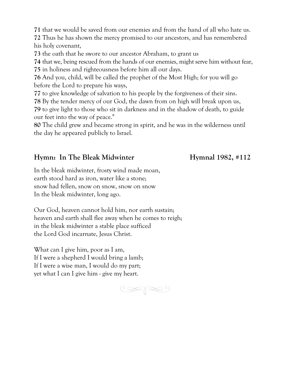**71** that we would be saved from our enemies and from the hand of all who hate us.

**72** Thus he has shown the mercy promised to our ancestors, and has remembered his holy covenant,

**73** the oath that he swore to our ancestor Abraham, to grant us

**74** that we, being rescued from the hands of our enemies, might serve him without fear, **75** in holiness and righteousness before him all our days.

**76** And you, child, will be called the prophet of the Most High; for you will go before the Lord to prepare his ways,

**77** to give knowledge of salvation to his people by the forgiveness of their sins.

**78** By the tender mercy of our God, the dawn from on high will break upon us,

**79** to give light to those who sit in darkness and in the shadow of death, to guide our feet into the way of peace."

**80** The child grew and became strong in spirit, and he was in the wilderness until the day he appeared publicly to Israel.

#### Hymn: In The Bleak Midwinter **Hymnal 1982**, #112

In the bleak midwinter, frosty wind made moan, earth stood hard as iron, water like a stone; snow had fellen, snow on snow, snow on snow In the bleak midwinter, long ago.

Our God, heaven cannot hold him, nor earth sustain; heaven and earth shall flee away when he comes to reigh; in the bleak midwinter a stable place sufficed the Lord God incarnate, Jesus Christ.

What can I give him, poor as I am, If I were a shepherd I would bring a lamb; If I were a wise man, I would do my part; yet what I can I give him - give my heart.

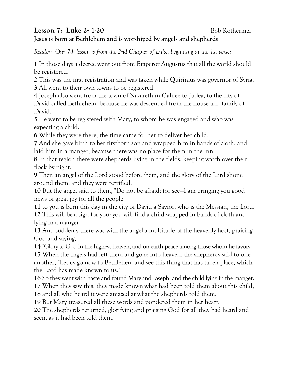### Lesson 7: Luke 2: 1-20 Bob Rothermel

#### **Jesus is born at Bethlehem and is worshiped by angels and shepherds**

*Reader: Our 7th lesson is from the 2nd Chapter of Luke, beginning at the 1st verse:*

**1** In those days a decree went out from Emperor Augustus that all the world should be registered.

**2** This was the first registration and was taken while Quirinius was governor of Syria. **3** All went to their own towns to be registered.

**4** Joseph also went from the town of Nazareth in Galilee to Judea, to the city of David called Bethlehem, because he was descended from the house and family of David.

**5** He went to be registered with Mary, to whom he was engaged and who was expecting a child.

**6** While they were there, the time came for her to deliver her child.

**7** And she gave birth to her firstborn son and wrapped him in bands of cloth, and laid him in a manger, because there was no place for them in the inn.

**8** In that region there were shepherds living in the fields, keeping watch over their flock by night.

**9** Then an angel of the Lord stood before them, and the glory of the Lord shone around them, and they were terrified.

**10** But the angel said to them, "Do not be afraid; for see—I am bringing you good news of great joy for all the people:

**11** to you is born this day in the city of David a Savior, who is the Messiah, the Lord. **12** This will be a sign for you: you will find a child wrapped in bands of cloth and lying in a manger."

**13** And suddenly there was with the angel a multitude of the heavenly host, praising God and saying,

**14** "Glory to God in the highest heaven, and on earth peace among those whom he favors!" **15** When the angels had left them and gone into heaven, the shepherds said to one another, "Let us go now to Bethlehem and see this thing that has taken place, which the Lord has made known to us."

**16** So they went with haste and found Mary and Joseph, and the child lying in the manger.

**17** When they saw this, they made known what had been told them about this child;

**18** and all who heard it were amazed at what the shepherds told them.

**19** But Mary treasured all these words and pondered them in her heart.

**20** The shepherds returned, glorifying and praising God for all they had heard and seen, as it had been told them.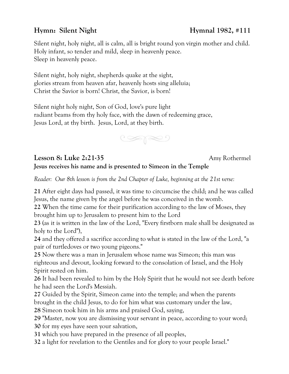#### **Hymn: Silent Night Hymnal 1982, #111**

Silent night, holy night, all is calm, all is bright round yon virgin mother and child. Holy infant, so tender and mild, sleep in heavenly peace. Sleep in heavenly peace.

Silent night, holy night, shepherds quake at the sight, glories stream from heaven afar, heavenly hosts sing alleluia; Christ the Savior is born! Christ, the Savior, is born!

Silent night holy night, Son of God, love's pure light radiant beams from thy holy face, with the dawn of redeeming grace, Jesus Lord, at thy birth. Jesus, Lord, at they birth.



#### **Lesson 8: Luke 2:21-35** Amy Rothermel

**Jesus receives his name and is presented to Simeon in the Temple**

*Reader: Our 8th lesson is from the 2nd Chapter of Luke, beginning at the 21st verse:*

**21** After eight days had passed, it was time to circumcise the child; and he was called Jesus, the name given by the angel before he was conceived in the womb.

**22** When the time came for their purification according to the law of Moses, they brought him up to Jerusalem to present him to the Lord

**23** (as it is written in the law of the Lord, "Every firstborn male shall be designated as holy to the Lord"),

**24** and they offered a sacrifice according to what is stated in the law of the Lord, "a pair of turtledoves or two young pigeons."

**25** Now there was a man in Jerusalem whose name was Simeon; this man was righteous and devout, looking forward to the consolation of Israel, and the Holy Spirit rested on him.

**26** It had been revealed to him by the Holy Spirit that he would not see death before he had seen the Lord's Messiah.

**27** Guided by the Spirit, Simeon came into the temple; and when the parents brought in the child Jesus, to do for him what was customary under the law,

**28** Simeon took him in his arms and praised God, saying,

**29** "Master, now you are dismissing your servant in peace, according to your word;

**30** for my eyes have seen your salvation,

**31** which you have prepared in the presence of all peoples,

**32** a light for revelation to the Gentiles and for glory to your people Israel."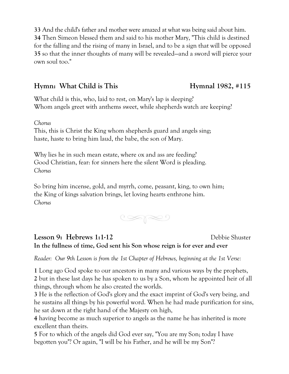**33** And the child's father and mother were amazed at what was being said about him. **34** Then Simeon blessed them and said to his mother Mary, "This child is destined for the falling and the rising of many in Israel, and to be a sign that will be opposed **35** so that the inner thoughts of many will be revealed—and a sword will pierce your own soul too."

#### **Hymn: What Child is This Hymnal 1982, #115**

What child is this, who, laid to rest, on Mary's lap is sleeping? Whom angels greet with anthems sweet, while shepherds watch are keeping?

*Chorus*

This, this is Christ the King whom shepherds guard and angels sing; haste, haste to bring him laud, the babe, the son of Mary.

Why lies he in such mean estate, where ox and ass are feeding? Good Christian, fear: for sinners here the silent Word is pleading. *Chorus*

So bring him incense, gold, and myrrh, come, peasant, king, to own him; the King of kings salvation brings, let loving hearts enthrone him. *Chorus*



### **Lesson 9: Hebrews 1:1-12** Debbie Shuster **In the fullness of time, God sent his Son whose reign is for ever and ever**

*Reader: Our 9th Lesson is from the 1st Chapter of Hebrews, beginning at the 1st Verse:*

**1** Long ago God spoke to our ancestors in many and various ways by the prophets, **2** but in these last days he has spoken to us by a Son, whom he appointed heir of all things, through whom he also created the worlds.

**3** He is the reflection of God's glory and the exact imprint of God's very being, and he sustains all things by his powerful word. When he had made purification for sins, he sat down at the right hand of the Majesty on high,

**4** having become as much superior to angels as the name he has inherited is more excellent than theirs.

**5** For to which of the angels did God ever say, "You are my Son; today I have begotten you"? Or again, "I will be his Father, and he will be my Son"?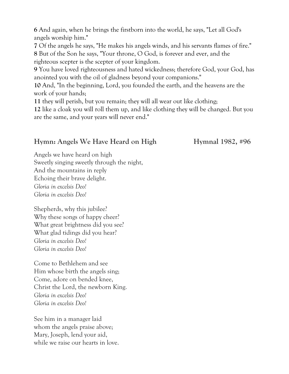**6** And again, when he brings the firstborn into the world, he says, "Let all God's angels worship him."

**7** Of the angels he says, "He makes his angels winds, and his servants flames of fire." **8** But of the Son he says, "Your throne, O God, is forever and ever, and the righteous scepter is the scepter of your kingdom.

**9** You have loved righteousness and hated wickedness; therefore God, your God, has anointed you with the oil of gladness beyond your companions."

**10** And, "In the beginning, Lord, you founded the earth, and the heavens are the work of your hands;

**11** they will perish, but you remain; they will all wear out like clothing;

**12** like a cloak you will roll them up, and like clothing they will be changed. But you are the same, and your years will never end."

#### **Hymn: Angels We Have Heard on High Hymnal 1982, #96**

Angels we have heard on high Sweetly singing sweetly through the night, And the mountains in reply Echoing their brave delight. *Gloria in excelsis Deo! Gloria in excelsis Deo!*

Shepherds, why this jubilee? Why these songs of happy cheer? What great brightness did you see? What glad tidings did you hear? *Gloria in excelsis Deo! Gloria in excelsis Deo!*

Come to Bethlehem and see Him whose birth the angels sing; Come, adore on bended knee, Christ the Lord, the newborn King. *Gloria in excelsis Deo! Gloria in excelsis Deo!*

See him in a manager laid whom the angels praise above; Mary, Joseph, lend your aid, while we raise our hearts in love.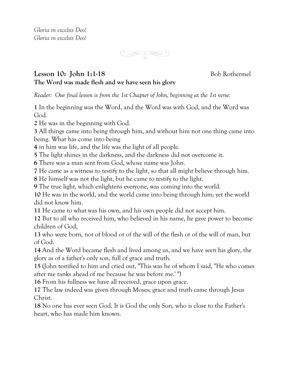*Gloria in excelsis Deo! Gloria in excelsis Deo!*

<u>teges</u>

#### **Lesson 10: John 1:1-18** Bob Rothermel **The Word was made flesh and we have seen his glory**

*Reader: Our final lesson is from the 1st Chapter of John, beginning at the 1st verse:*

**1** In the beginning was the Word, and the Word was with God, and the Word was God.

**2** He was in the beginning with God.

**3** All things came into being through him, and without him not one thing came into being. What has come into being

**4** in him was life, and the life was the light of all people.

**5** The light shines in the darkness, and the darkness did not overcome it.

**6** There was a man sent from God, whose name was John.

**7** He came as a witness to testify to the light, so that all might believe through him.

**8** He himself was not the light, but he came to testify to the light.

**9** The true light, which enlightens everyone, was coming into the world.

**10** He was in the world, and the world came into being through him; yet the world did not know him.

**11** He came to what was his own, and his own people did not accept him.

**12** But to all who received him, who believed in his name, he gave power to become children of God,

**13** who were born, not of blood or of the will of the flesh or of the will of man, but of God.

**14** And the Word became flesh and lived among us, and we have seen his glory, the glory as of a father's only son, full of grace and truth.

**15** (John testified to him and cried out, "This was he of whom I said, "He who comes after me ranks ahead of me because he was before me.' ")

**16** From his fullness we have all received, grace upon grace.

**17** The law indeed was given through Moses; grace and truth came through Jesus Christ.

**18** No one has ever seen God. It is God the only Son, who is close to the Father's heart, who has made him known.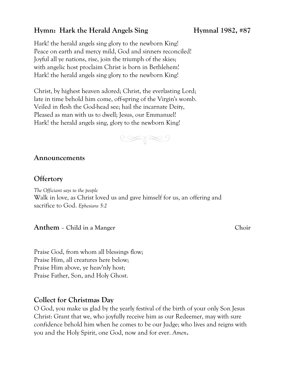#### **Hymn: Hark the Herald Angels Sing Hymnal 1982, #87**

Hark! the herald angels sing glory to the newborn King! Peace on earth and mercy mild, God and sinners reconciled! Joyful all ye nations, rise, join the triumph of the skies; with angelic host proclaim Christ is born in Bethlehem! Hark! the herald angels sing glory to the newborn King!

Christ, by highest heaven adored; Christ, the everlasting Lord; late in time behold him come, off-spring of the Virgin's womb. Veiled in flesh the God-head see; hail the incarnate Deity, Pleased as man with us to dwell; Jesus, our Emmanuel! Hark! the herald angels sing, glory to the newborn King!



#### **Announcements**

#### **Offertory**

*The Officiant says to the people* Walk in love, as Christ loved us and gave himself for us, an offering and sacrifice to God. *Ephesians 5:2*

#### **Anthem** – **Child in a Manger Choir**

Praise God, from whom all blessings flow; Praise Him, all creatures here below; Praise Him above, ye heav'nly host; Praise Father, Son, and Holy Ghost.

#### **Collect for Christmas Day**

O God, you make us glad by the yearly festival of the birth of your only Son Jesus Christ: Grant that we, who joyfully receive him as our Redeemer, may with sure confidence behold him when he comes to be our Judge; who lives and reigns with you and the Holy Spirit, one God, now and for ever. *Amen***.**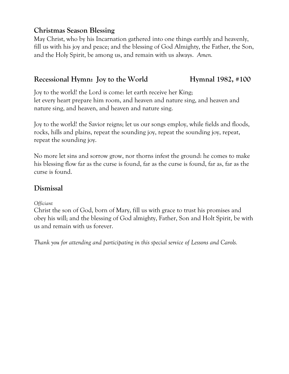#### **Christmas Season Blessing**

May Christ, who by his Incarnation gathered into one things earthly and heavenly, fill us with his joy and peace; and the blessing of God Almighty, the Father, the Son, and the Holy Spirit, be among us, and remain with us always. *Amen.*

#### **Recessional Hymn: Joy to the World Hymnal 1982, #100**

Joy to the world! the Lord is come: let earth receive her King; let every heart prepare him room, and heaven and nature sing, and heaven and nature sing, and heaven, and heaven and nature sing.

Joy to the world! the Savior reigns; let us our songs employ, while fields and floods, rocks, hills and plains, repeat the sounding joy, repeat the sounding joy, repeat, repeat the sounding joy.

No more let sins and sorrow grow, nor thorns infest the ground: he comes to make his blessing flow far as the curse is found, far as the curse is found, far as, far as the curse is found.

#### **Dismissal**

#### *Officiant*

Christ the son of God, born of Mary, fill us with grace to trust his promises and obey his will; and the blessing of God almighty, Father, Son and Holt Spirit, be with us and remain with us forever.

*Thank you for attending and participating in this special service of Lessons and Carols.*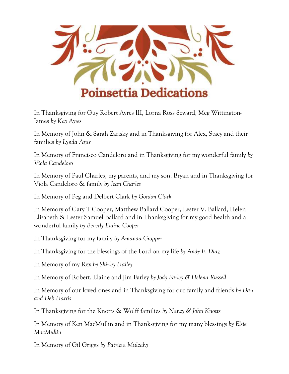

In Thanksgiving for Guy Robert Ayres III, Lorna Ross Seward, Meg Wittington-James *by Kay Ayres*

In Memory of John & Sarah Zarisky and in Thanksgiving for Alex, Stacy and their families *by Lynda Azar*

In Memory of Francisco Candeloro and in Thanksgiving for my wonderful family *by Viola Candeloro*

In Memory of Paul Charles, my parents, and my son, Bryan and in Thanksgiving for Viola Candeloro & family *by Jean Charles*

In Memory of Peg and Delbert Clark *by Gordon Clark*

In Memory of Gary T Cooper, Matthew Ballard Cooper, Lester V. Ballard, Helen Elizabeth & Lester Samuel Ballard and in Thanksgiving for my good health and a wonderful family *by Beverly Elaine Cooper*

In Thanksgiving for my family *by Amanda Cropper*

In Thanksgiving for the blessings of the Lord on my life *by Andy E. Diaz*

In Memory of my Rex *by Shirley Hailey*

In Memory of Robert, Elaine and Jim Farley *by Jody Farley & Helena Russell*

In Memory of our loved ones and in Thanksgiving for our family and friends *by Dan and Deb Harris*

In Thanksgiving for the Knotts & Wolff families *by Nancy & John Knotts*

In Memory of Ken MacMullin and in Thanksgiving for my many blessings *by Elsie MacMullin*

In Memory of Gil Griggs *by Patricia Mulcahy*